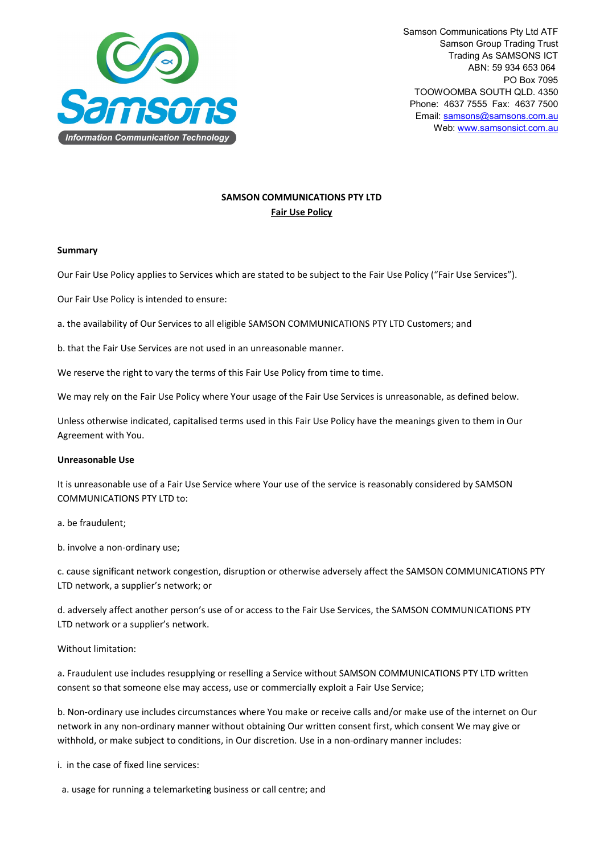

## **SAMSON COMMUNICATIONS PTY LTD Fair Use Policy**

## **Summary**

Our Fair Use Policy applies to Services which are stated to be subject to the Fair Use Policy ("Fair Use Services").

Our Fair Use Policy is intended to ensure:

a. the availability of Our Services to all eligible SAMSON COMMUNICATIONS PTY LTD Customers; and

b. that the Fair Use Services are not used in an unreasonable manner.

We reserve the right to vary the terms of this Fair Use Policy from time to time.

We may rely on the Fair Use Policy where Your usage of the Fair Use Services is unreasonable, as defined below.

Unless otherwise indicated, capitalised terms used in this Fair Use Policy have the meanings given to them in Our Agreement with You.

## **Unreasonable Use**

It is unreasonable use of a Fair Use Service where Your use of the service is reasonably considered by SAMSON COMMUNICATIONS PTY LTD to:

a. be fraudulent;

b. involve a non-ordinary use;

c. cause significant network congestion, disruption or otherwise adversely affect the SAMSON COMMUNICATIONS PTY LTD network, a supplier's network; or

d. adversely affect another person's use of or access to the Fair Use Services, the SAMSON COMMUNICATIONS PTY LTD network or a supplier's network.

Without limitation:

a. Fraudulent use includes resupplying or reselling a Service without SAMSON COMMUNICATIONS PTY LTD written consent so that someone else may access, use or commercially exploit a Fair Use Service;

b. Non-ordinary use includes circumstances where You make or receive calls and/or make use of the internet on Our network in any non-ordinary manner without obtaining Our written consent first, which consent We may give or withhold, or make subject to conditions, in Our discretion. Use in a non-ordinary manner includes:

i. in the case of fixed line services:

a. usage for running a telemarketing business or call centre; and